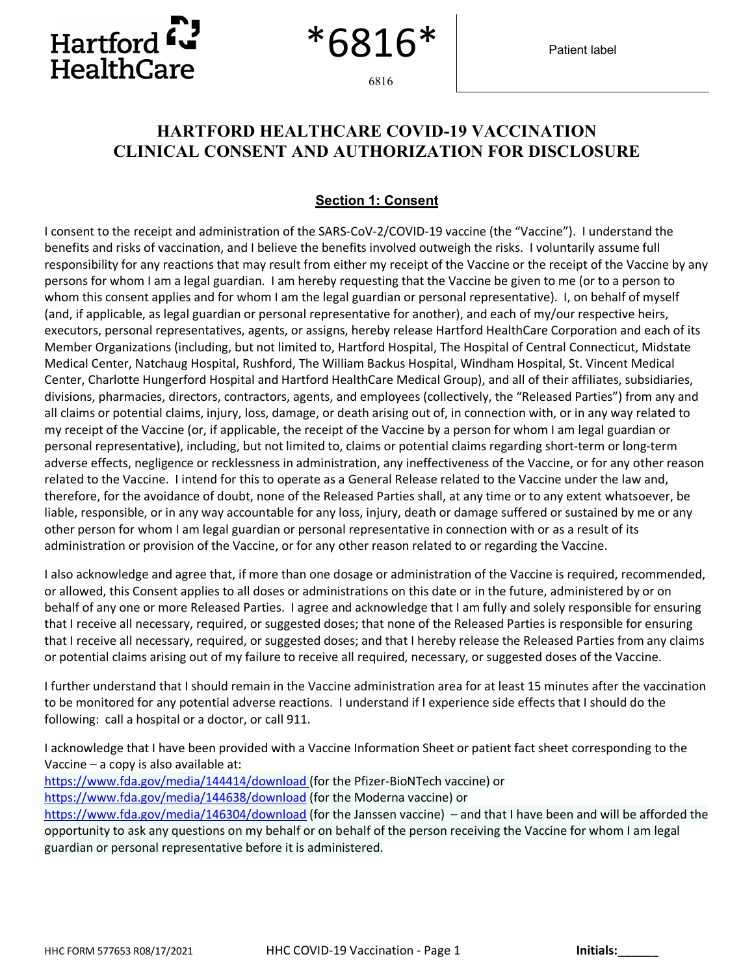

6816

6816

## **HARTFORD HEALTHCARE COVID-19 VACCINATION CLINICAL CONSENT AND AUTHORIZATION FOR DISCLOSURE**

## **Section 1: Consent**

I consent to the receipt and administration of the SARS-CoV-2/COVID-19 vaccine (the "Vaccine"). I understand the benefits and risks of vaccination, and I believe the benefits involved outweigh the risks. I voluntarily assume full responsibility for any reactions that may result from either my receipt of the Vaccine or the receipt of the Vaccine by any persons for whom I am a legal guardian. I am hereby requesting that the Vaccine be given to me (or to a person to whom this consent applies and for whom I am the legal guardian or personal representative). I, on behalf of myself (and, if applicable, as legal guardian or personal representative for another), and each of my/our respective heirs, executors, personal representatives, agents, or assigns, hereby release Hartford HealthCare Corporation and each of its Member Organizations (including, but not limited to, Hartford Hospital, The Hospital of Central Connecticut, Midstate Medical Center, Natchaug Hospital, Rushford, The William Backus Hospital, Windham Hospital, St. Vincent Medical Center, Charlotte Hungerford Hospital and Hartford HealthCare Medical Group), and all of their affiliates, subsidiaries, divisions, pharmacies, directors, contractors, agents, and employees (collectively, the "Released Parties") from any and all claims or potential claims, injury, loss, damage, or death arising out of, in connection with, or in any way related to my receipt of the Vaccine (or, if applicable, the receipt of the Vaccine by a person for whom I am legal guardian or personal representative), including, but not limited to, claims or potential claims regarding short-term or long-term adverse effects, negligence or recklessness in administration, any ineffectiveness of the Vaccine, or for any other reason related to the Vaccine. I intend for this to operate as a General Release related to the Vaccine under the law and, therefore, for the avoidance of doubt, none of the Released Parties shall, at any time or to any extent whatsoever, be liable, responsible, or in any way accountable for any loss, injury, death or damage suffered or sustained by me or any other person for whom I am legal guardian or personal representative in connection with or as a result of its administration or provision of the Vaccine, or for any other reason related to or regarding the Vaccine.

I also acknowledge and agree that, if more than one dosage or administration of the Vaccine is required, recommended, or allowed, this Consent applies to all doses or administrations on this date or in the future, administered by or on behalf of any one or more Released Parties. I agree and acknowledge that I am fully and solely responsible for ensuring that I receive all necessary, required, or suggested doses; that none of the Released Parties is responsible for ensuring that I receive all necessary, required, or suggested doses; and that I hereby release the Released Parties from any claims or potential claims arising out of my failure to receive all required, necessary, or suggested doses of the Vaccine.

I further understand that I should remain in the Vaccine administration area for at least 15 minutes after the vaccination to be monitored for any potential adverse reactions. I understand if I experience side effects that I should do the following: call a hospital or a doctor, or call 911.

I acknowledge that I have been provided with a Vaccine Information Sheet or patient fact sheet corresponding to the Vaccine – a copy is also available at:

https://www.fda.gov/media/144414/download (for the Pfizer-BioNTech vaccine) or https://www.fda.gov/media/144638/download (for the Moderna vaccine) or https://www.fda.gov/media/146304/download (for the Janssen vaccine) – and that I have been and will be afforded the opportunity to ask any questions on my behalf or on behalf of the person receiving the Vaccine for whom I am legal guardian or personal representative before it is administered.